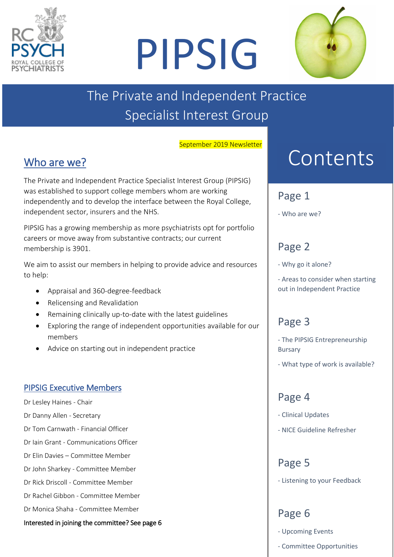

# PIPSIG



# The Private and Independent Practice Specialist Interest Group

September 2019 Newsletter

# Who are we?

The Private and Independent Practice Specialist Interest Group (PIPSIG) was established to support college members whom are working independently and to develop the interface between the Royal College, independent sector, insurers and the NHS.

PIPSIG has a growing membership as more psychiatrists opt for portfolio careers or move away from substantive contracts; our current membership is 3901.

We aim to assist our members in helping to provide advice and resources to help:

- Appraisal and 360-degree-feedback
- Relicensing and Revalidation
- Remaining clinically up-to-date with the latest guidelines
- Exploring the range of independent opportunities available for our members
- Advice on starting out in independent practice

#### PIPSIG Executive Members

Dr Lesley Haines - Chair

- Dr Danny Allen Secretary
- Dr Tom Carnwath Financial Officer
- Dr Iain Grant Communications Officer
- Dr Elin Davies Committee Member
- Dr John Sharkey Committee Member
- Dr Rick Driscoll Committee Member
- Dr Rachel Gibbon Committee Member
- Dr Monica Shaha Committee Member

Interested in joining the committee? See page 6

# Content Contents

#### Page 1

- Who are we?

# Page 2

- Why go it alone?

- Areas to consider when starting out in Independent Practice

# Page 3

- The PIPSIG Entrepreneurship Bursary

- What type of work is available?

# Page 4

- Clinical Updates
- NICE Guideline Refresher

#### Page 5

- Listening to your Feedback

# Page 6

- Upcoming Events
- Committee Opportunities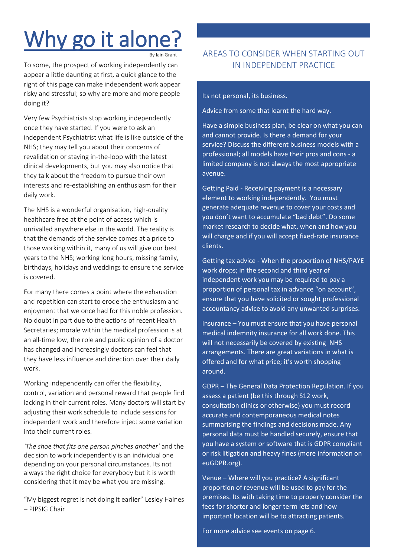# Why go it alone?

By Iain Grant

i<br>L

To some, the prospect of working independently can appear a little daunting at first, a quick glance to the right of this page can make independent work appear risky and stressful; so why are more and more people doing it?

Very few Psychiatrists stop working independently once they have started. If you were to ask an independent Psychiatrist what life is like outside of the NHS; they may tell you about their concerns of revalidation or staying in-the-loop with the latest clinical developments, but you may also notice that they talk about the freedom to pursue their own interests and re-establishing an enthusiasm for their daily work.

The NHS is a wonderful organisation, high-quality healthcare free at the point of access which is unrivalled anywhere else in the world. The reality is that the demands of the service comes at a price to those working within it, many of us will give our best years to the NHS; working long hours, missing family, birthdays, holidays and weddings to ensure the service is covered.

For many there comes a point where the exhaustion and repetition can start to erode the enthusiasm and enjoyment that we once had for this noble profession. No doubt in part due to the actions of recent Health Secretaries; morale within the medical profession is at an all-time low, the role and public opinion of a doctor has changed and increasingly doctors can feel that they have less influence and direction over their daily work.

Working independently can offer the flexibility, control, variation and personal reward that people find lacking in their current roles. Many doctors will start by adjusting their work schedule to include sessions for independent work and therefore inject some variation into their current roles.

*'The shoe that fits one person pinches another'* and the decision to work independently is an individual one depending on your personal circumstances. Its not always the right choice for everybody but it is worth considering that it may be what you are missing.

"My biggest regret is not doing it earlier" Lesley Haines – PIPSIG Chair

#### AREAS TO CONSIDER WHEN STARTING OUT IN INDEPENDENT PRACTICE

Its not personal, its business.

Advice from some that learnt the hard way.

Have a simple business plan, be clear on what you can and cannot provide. Is there a demand for your service? Discuss the different business models with a professional; all models have their pros and cons - a limited company is not always the most appropriate avenue.

Getting Paid - Receiving payment is a necessary element to working independently. You must generate adequate revenue to cover your costs and you don't want to accumulate "bad debt". Do some market research to decide what, when and how you will charge and if you will accept fixed-rate insurance clients.

Getting tax advice - When the proportion of NHS/PAYE work drops; in the second and third year of independent work you may be required to pay a proportion of personal tax in advance "on account", ensure that you have solicited or sought professional accountancy advice to avoid any unwanted surprises.

Insurance – You must ensure that you have personal medical indemnity insurance for all work done. This will not necessarily be covered by existing NHS arrangements. There are great variations in what is offered and for what price; it's worth shopping around.

GDPR – The General Data Protection Regulation. If you assess a patient (be this through S12 work, consultation clinics or otherwise) you must record accurate and contemporaneous medical notes summarising the findings and decisions made. Any personal data must be handled securely, ensure that you have a system or software that is GDPR compliant or risk litigation and heavy fines (more information on euGDPR.org).

Venue – Where will you practice? A significant proportion of revenue will be used to pay for the premises. Its with taking time to properly consider the fees for shorter and longer term lets and how important location will be to attracting patients.

For more advice see events on page 6.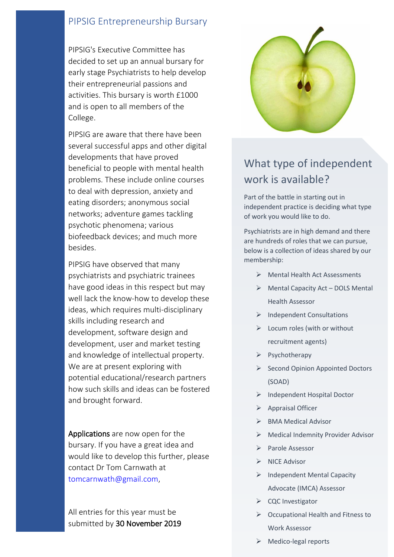#### PIPSIG Entrepreneurship Bursary

PIPSIG's Executive Committee has decided to set up an annual bursary for early stage Psychiatrists to help develop their entrepreneurial passions and activities. This bursary is worth £1000 and is open to all members of the College.

PIPSIG are aware that there have been several successful apps and other digital developments that have proved beneficial to people with mental health problems. These include online courses to deal with depression, anxiety and eating disorders; anonymous social networks; adventure games tackling psychotic phenomena; various biofeedback devices; and much more besides.

PIPSIG have observed that many psychiatrists and psychiatric trainees have good ideas in this respect but may well lack the know-how to develop these ideas, which requires multi-disciplinary skills including research and development, software design and development, user and market testing and knowledge of intellectual property. We are at present exploring with potential educational/research partners how such skills and ideas can be fostered and brought forward.

Applications are now open for the bursary. If you have a great idea and would like to develop this further, please contact Dr Tom Carnwath at [tomcarnwath@gmail.com,](mailto:tomcarnwath@gmail.com)

All entries for this year must be submitted by 30 November 2019



### What type of independent work is available?

Part of the battle in starting out in independent practice is deciding what type of work you would like to do.

Psychiatrists are in high demand and there are hundreds of roles that we can pursue, below is a collection of ideas shared by our membership:

- ➢ Mental Health Act Assessments
- ➢ Mental Capacity Act DOLS Mental Health Assessor
- ➢ Independent Consultations
- $\triangleright$  Locum roles (with or without recruitment agents)
- ➢ Psychotherapy
- ➢ Second Opinion Appointed Doctors (SOAD)
- ➢ Independent Hospital Doctor
- ➢ Appraisal Officer
- ➢ BMA Medical Advisor
- ➢ Medical Indemnity Provider Advisor
- ➢ Parole Assessor
- ➢ NICE Advisor
- ➢ Independent Mental Capacity Advocate (IMCA) Assessor
- ➢ CQC Investigator
- ➢ Occupational Health and Fitness to Work Assessor
- $\triangleright$  Medico-legal reports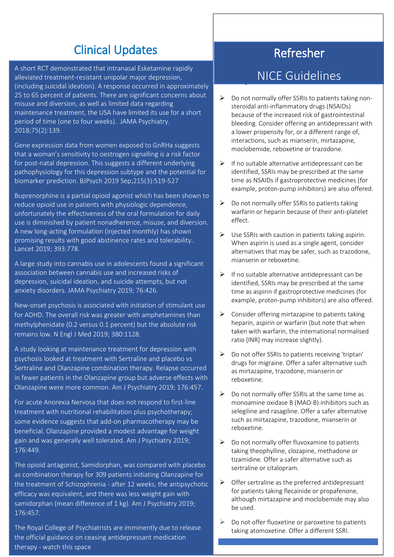# Clinical Updates

A short RCT demonstrated that intranasal Esketamine [rapidly](https://protect-eu.mimecast.com/s/fKLACEq4Mi3Q9jgsQW2xa?domain=uptodate.com)  [alleviated treatment-resistant unipolar major depression,](https://protect-eu.mimecast.com/s/fKLACEq4Mi3Q9jgsQW2xa?domain=uptodate.com)  [\(including suicidal ideation\).](https://protect-eu.mimecast.com/s/fKLACEq4Mi3Q9jgsQW2xa?domain=uptodate.com) [A response occurred in approximately](https://protect-eu.mimecast.com/s/fKLACEq4Mi3Q9jgsQW2xa?domain=uptodate.com)  [25 to 65 percent of patients.](https://protect-eu.mimecast.com/s/fKLACEq4Mi3Q9jgsQW2xa?domain=uptodate.com) [There are significant concerns about](https://protect-eu.mimecast.com/s/fKLACEq4Mi3Q9jgsQW2xa?domain=uptodate.com)  [misuse and diversion, as well as limited data regarding](https://protect-eu.mimecast.com/s/fKLACEq4Mi3Q9jgsQW2xa?domain=uptodate.com)  [maintenance treatment, the USA have](https://protect-eu.mimecast.com/s/fKLACEq4Mi3Q9jgsQW2xa?domain=uptodate.com) limited its use for a short [period of time \(one to four weeks\).](https://protect-eu.mimecast.com/s/fKLACEq4Mi3Q9jgsQW2xa?domain=uptodate.com) JAMA Psychiatry. 2018;75(2):139.

Gene expression data from women exposed to GnRHa suggests that a woman's sensitivity to oestrogen signalling is a risk factor for post-natal depression. This suggests a different underlying pathophysiology for this depression subtype and the potential for biomarker prediction. BJPsych 2019 Sep;215(3):519-527

Buprenorphine is a [partial opioid agonist which has been shown to](https://protect-eu.mimecast.com/s/CCtqCWP4ys5A98Pswivv_?domain=uptodate.com)  [reduce opioid use in patients with physiologic dependence,](https://protect-eu.mimecast.com/s/CCtqCWP4ys5A98Pswivv_?domain=uptodate.com)  [unfortunately the effectiveness of the oral formulation for daily](https://protect-eu.mimecast.com/s/CCtqCWP4ys5A98Pswivv_?domain=uptodate.com)  [use is diminished by patient nonadherence, misuse, and diversion.](https://protect-eu.mimecast.com/s/CCtqCWP4ys5A98Pswivv_?domain=uptodate.com) A new [long-acting formulation \(injected monthly\)](https://protect-eu.mimecast.com/s/CCtqCWP4ys5A98Pswivv_?domain=uptodate.com) has shown promising results with good abstinence rates and tolerabilit[y.](https://protect-eu.mimecast.com/s/CCtqCWP4ys5A98Pswivv_?domain=uptodate.com) Lancet [2019; 393:778.](https://www.uptodate.com/contents/whats-new-in-psychiatry/abstract/19)

A large study into cannabis use in adolescents found a significant [association between cannabis use and increased risks of](https://protect-eu.mimecast.com/s/w0vVCz6ZJTM0gzxuXm4qq?domain=uptodate.com)  [depression, suicidal ideation, and suicide attempts, but not](https://protect-eu.mimecast.com/s/w0vVCz6ZJTM0gzxuXm4qq?domain=uptodate.com)  [anxiety](https://protect-eu.mimecast.com/s/w0vVCz6ZJTM0gzxuXm4qq?domain=uptodate.com) disorders[. JAMA Psychiatry 2019; 76:426.](https://www.uptodate.com/contents/whats-new-in-psychiatry/abstract/1)

[New-onset psychosis is associated with initiation of stimulant use](https://protect-eu.mimecast.com/s/1rYgCA64GTNv65nT9qcPa?domain=uptodate.com)  [for ADHD. The overall risk was greater with amphetamines than](https://protect-eu.mimecast.com/s/1rYgCA64GTNv65nT9qcPa?domain=uptodate.com)  [methylphenidate \(0.2 versus 0.1 percent\) but the absolute risk](https://protect-eu.mimecast.com/s/1rYgCA64GTNv65nT9qcPa?domain=uptodate.com)  [remains low.](https://protect-eu.mimecast.com/s/1rYgCA64GTNv65nT9qcPa?domain=uptodate.com) N Engl [J Med 2019; 380:1128.](https://www.uptodate.com/contents/whats-new-in-psychiatry/abstract/2)

A study looking at maintenance treatment for depression with psychosis looked at treatment with Sertraline and placebo vs Sertraline and Olanzapine combination therapy[. Relapse occurred](https://protect-eu.mimecast.com/s/ynbRCDq4Li5RvZnslEUDt?domain=uptodate.com)  [in fewer patients in the Olanzapine group but adverse effects with](https://protect-eu.mimecast.com/s/ynbRCDq4Li5RvZnslEUDt?domain=uptodate.com)  [Olanzapine were more common.](https://protect-eu.mimecast.com/s/ynbRCDq4Li5RvZnslEUDt?domain=uptodate.com) [Am J Psychiatry 2019; 176:457.](https://www.uptodate.com/contents/whats-new-in-psychiatry/abstract/12)

For acute Anorexia Nervosa that does not respond to first-line treatment with nutritional rehabilitation plus psychotherapy; some evidence suggests that add-on pharmacotherapy may be beneficial. [Olanzapine provided a modest advantage for weight](https://protect-eu.mimecast.com/s/hmsuCK84js2jEkBc2VPzf?domain=uptodate.com)  [gain and was generally well tolerated.](https://protect-eu.mimecast.com/s/hmsuCK84js2jEkBc2VPzf?domain=uptodate.com) [Am J Psychiatry 2019;](https://www.uptodate.com/contents/whats-new-in-psychiatry/abstract/11)  [176:449.](https://www.uptodate.com/contents/whats-new-in-psychiatry/abstract/11)

The [opioid antagonist, Samidorphan, was compared with placebo](https://protect-eu.mimecast.com/s/xSNuCMZ4lhqQOYRTNolvH?domain=uptodate.com) as combination therapy for [309 patients initiating Olanzapine for](https://protect-eu.mimecast.com/s/xSNuCMZ4lhqQOYRTNolvH?domain=uptodate.com)  [the treatment of Schizophrenia -](https://protect-eu.mimecast.com/s/xSNuCMZ4lhqQOYRTNolvH?domain=uptodate.com) after 12 weeks, the antipsychotic [efficacy was equivalent, and there was less weight gain with](https://protect-eu.mimecast.com/s/xSNuCMZ4lhqQOYRTNolvH?domain=uptodate.com)  [samidorphan \(mean difference of 1 kg\)](https://protect-eu.mimecast.com/s/xSNuCMZ4lhqQOYRTNolvH?domain=uptodate.com). Am J Psychiatry 2019; [176:457.](https://www.uptodate.com/contents/whats-new-in-psychiatry/abstract/12)

The Royal College of Psychiatrists are imminently due to release the official guidance on ceasing antidepressant medication therapy - watch this space

# Refresher

#### **DEPTITUS INCE Guidolinos health problem in the Suidelines**

- ➢ Do not normally offer SSRIs to patients taking nonsteroidal anti-inflammatory drugs (NSAIDs) because of the increased risk of gastrointestinal bleeding. Consider offering an antidepressant with a lower propensity for, or a different range of, interactions, such as mianserin, mirtazapine, moclobemide, reboxetine or trazodone.
- $\triangleright$  If no suitable alternative antidepressant can be identified, SSRIs may be prescribed at the same time as NSAIDs if gastroprotective medicines (for example, proton-pump inhibitors) are also offered.
- $\triangleright$  Do not normally offer SSRIs to patients taking warfarin or heparin because of their anti-platelet effect.
- $\triangleright$  Use SSRIs with caution in patients taking aspirin. When aspirin is used as a single agent, consider alternatives that may be safer, such as trazodone, mianserin or reboxetine.
- $\triangleright$  If no suitable alternative antidepressant can be identified, SSRIs may be prescribed at the same time as aspirin if gastroprotective medicines (for example, proton-pump inhibitors) are also offered.
- $\triangleright$  Consider offering mirtazapine to patients taking heparin, aspirin or warfarin (but note that when taken with warfarin, the international normalised ratio [INR] may increase slightly).
- ➢ Do not offer SSRIs to patients receiving 'triptan' drugs for migraine. Offer a safer alternative such as mirtazapine, trazodone, mianserin or reboxetine.
- $\triangleright$  Do not normally offer SSRIs at the same time as monoamine oxidase B (MAO-B) inhibitors such as selegiline and rasagiline. Offer a safer alternative such as mirtazapine, trazodone, mianserin or reboxetine.
- $\triangleright$  Do not normally offer fluvoxamine to patients taking theophylline, clozapine, methadone or tizamidine. Offer a safer alternative such as sertraline or citalopram.
- $\triangleright$  Offer sertraline as the preferred antidepressant for patients taking flecainide or propafenone, although mirtazapine and moclobemide may also be used.
- ➢ Do not offer fluoxetine or paroxetine to patients taking atomoxetine. Offer a different SSRI.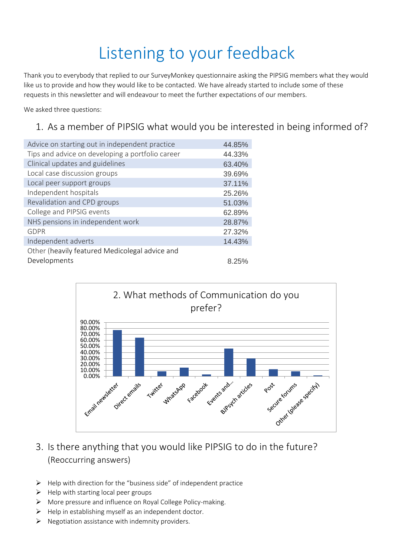# Listening to your feedback

Thank you to everybody that replied to our SurveyMonkey questionnaire asking the PIPSIG members what they would like us to provide and how they would like to be contacted. We have already started to include some of these requests in this newsletter and will endeavour to meet the further expectations of our members.

We asked three questions:

#### 1. As a member of PIPSIG what would you be interested in being informed of?

| Advice on starting out in independent practice   | 44.85% |
|--------------------------------------------------|--------|
| Tips and advice on developing a portfolio career | 44.33% |
| Clinical updates and guidelines                  | 63.40% |
| Local case discussion groups                     | 39.69% |
| Local peer support groups                        | 37.11% |
| Independent hospitals                            | 25.26% |
| Revalidation and CPD groups                      | 51.03% |
| College and PIPSIG events                        | 62.89% |
| NHS pensions in independent work                 | 28.87% |
| <b>GDPR</b>                                      | 27.32% |
| Independent adverts                              | 14.43% |
| Other (heavily featured Medicolegal advice and   |        |
| Developments                                     | 8.25%  |



#### 3. Is there anything that you would like PIPSIG to do in the future? (Reoccurring answers)

- $\triangleright$  Help with direction for the "business side" of independent practice
- $\triangleright$  Help with starting local peer groups
- ➢ More pressure and influence on Royal College Policy-making.
- $\triangleright$  Help in establishing myself as an independent doctor.
- $\triangleright$  Negotiation assistance with indemnity providers.